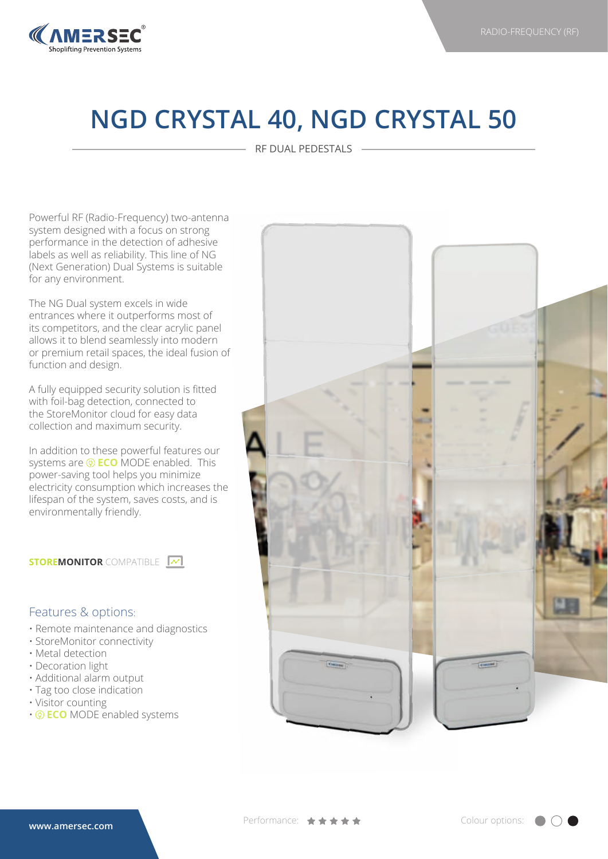

## **NGD CRYSTAL 40, NGD CRYSTAL 50**

RF DUAL PEDESTALS

Powerful RF (Radio-Frequency) two-antenna system designed with a focus on strong performance in the detection of adhesive labels as well as reliability. This line of NG (Next Generation) Dual Systems is suitable for any environment.

The NG Dual system excels in wide entrances where it outperforms most of its competitors, and the clear acrylic panel allows it to blend seamlessly into modern or premium retail spaces, the ideal fusion of function and design.

A fully equipped security solution is fitted with foil-bag detection, connected to the StoreMonitor cloud for easy data collection and maximum security.

In addition to these powerful features our systems are  $\circledR$  **ECO** MODE enabled. This power-saving tool helps you minimize electricity consumption which increases the lifespan of the system, saves costs, and is environmentally friendly.

**STOREMONITOR** COMPATIBLE **M** 

## Features & options:

- Remote maintenance and diagnostics
- StoreMonitor connectivity
- Metal detection
- Decoration light
- Additional alarm output
- Tag too close indication
- Visitor counting
- **ECO** MODE enabled systems